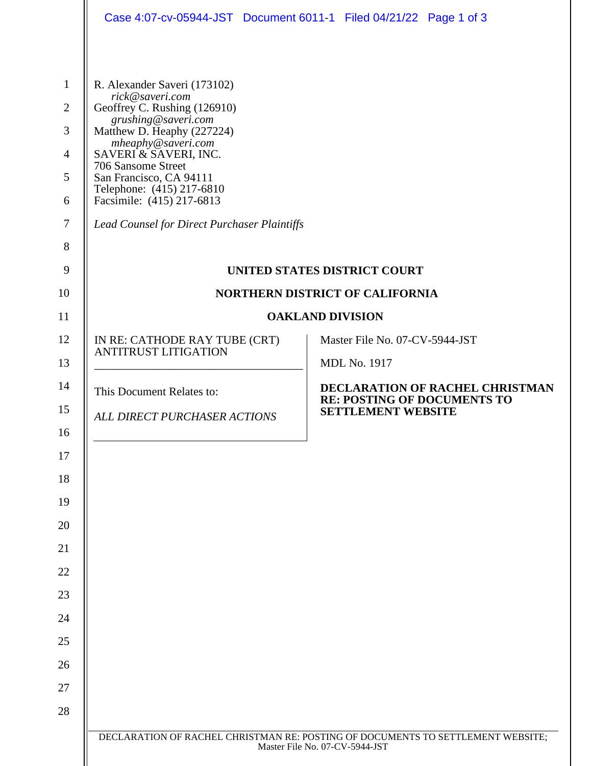|                                                                                                                                                                                                                                                                                                                                                | Case 4:07-cv-05944-JST Document 6011-1 Filed 04/21/22 Page 1 of 3               |  |  |  |
|------------------------------------------------------------------------------------------------------------------------------------------------------------------------------------------------------------------------------------------------------------------------------------------------------------------------------------------------|---------------------------------------------------------------------------------|--|--|--|
| R. Alexander Saveri (173102)<br>rick@saveri.com<br>Geoffrey C. Rushing (126910)<br>grushing@saveri.com<br>Matthew D. Heaphy (227224)<br>mheaphy@saveri.com<br>SAVERI & SAVERI, INC.<br>706 Sansome Street<br>San Francisco, CA 94111<br>Telephone: (415) 217-6810<br>Facsimile: (415) 217-6813<br>Lead Counsel for Direct Purchaser Plaintiffs |                                                                                 |  |  |  |
|                                                                                                                                                                                                                                                                                                                                                |                                                                                 |  |  |  |
|                                                                                                                                                                                                                                                                                                                                                | UNITED STATES DISTRICT COURT                                                    |  |  |  |
| <b>NORTHERN DISTRICT OF CALIFORNIA</b>                                                                                                                                                                                                                                                                                                         |                                                                                 |  |  |  |
|                                                                                                                                                                                                                                                                                                                                                | <b>OAKLAND DIVISION</b>                                                         |  |  |  |
| IN RE: CATHODE RAY TUBE (CRT)<br><b>ANTITRUST LITIGATION</b>                                                                                                                                                                                                                                                                                   | Master File No. 07-CV-5944-JST                                                  |  |  |  |
|                                                                                                                                                                                                                                                                                                                                                | <b>MDL No. 1917</b>                                                             |  |  |  |
| This Document Relates to:                                                                                                                                                                                                                                                                                                                      | DECLARATION OF RACHEL CHRISTMAN<br><b>RE: POSTING OF DOCUMENTS TO</b>           |  |  |  |
| ALL DIRECT PURCHASER ACTIONS                                                                                                                                                                                                                                                                                                                   | <b>SETTLEMENT WEBSITE</b>                                                       |  |  |  |
|                                                                                                                                                                                                                                                                                                                                                |                                                                                 |  |  |  |
|                                                                                                                                                                                                                                                                                                                                                |                                                                                 |  |  |  |
|                                                                                                                                                                                                                                                                                                                                                |                                                                                 |  |  |  |
|                                                                                                                                                                                                                                                                                                                                                |                                                                                 |  |  |  |
|                                                                                                                                                                                                                                                                                                                                                |                                                                                 |  |  |  |
|                                                                                                                                                                                                                                                                                                                                                |                                                                                 |  |  |  |
|                                                                                                                                                                                                                                                                                                                                                |                                                                                 |  |  |  |
|                                                                                                                                                                                                                                                                                                                                                |                                                                                 |  |  |  |
|                                                                                                                                                                                                                                                                                                                                                |                                                                                 |  |  |  |
|                                                                                                                                                                                                                                                                                                                                                |                                                                                 |  |  |  |
|                                                                                                                                                                                                                                                                                                                                                |                                                                                 |  |  |  |
|                                                                                                                                                                                                                                                                                                                                                |                                                                                 |  |  |  |
|                                                                                                                                                                                                                                                                                                                                                | DECLARATION OF RACHEL CHRISTMAN RE: POSTING OF DOCUMENTS TO SETTLEMENT WEBSITE; |  |  |  |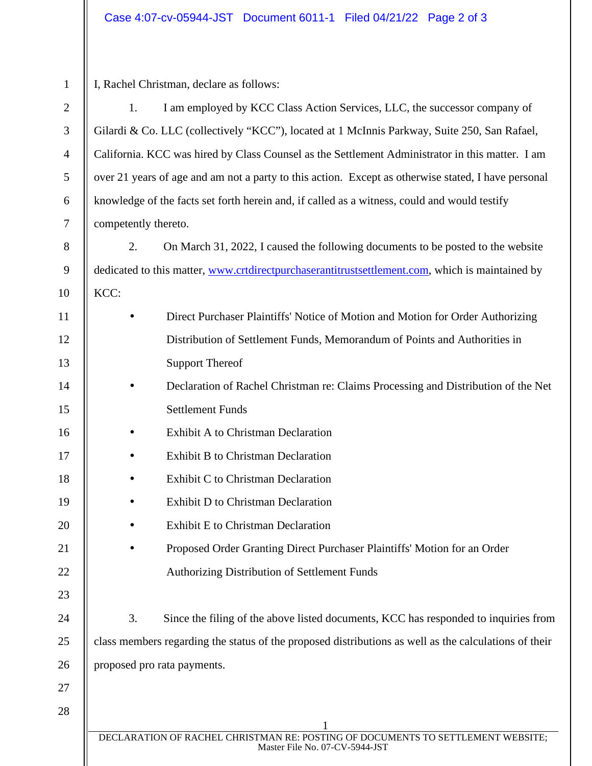| $\mathbf{1}$   | I, Rachel Christman, declare as follows:                                                                          |  |  |  |
|----------------|-------------------------------------------------------------------------------------------------------------------|--|--|--|
| $\mathbf{2}$   | I am employed by KCC Class Action Services, LLC, the successor company of<br>1.                                   |  |  |  |
| $\mathfrak{Z}$ | Gilardi & Co. LLC (collectively "KCC"), located at 1 McInnis Parkway, Suite 250, San Rafael,                      |  |  |  |
| $\overline{4}$ | California. KCC was hired by Class Counsel as the Settlement Administrator in this matter. I am                   |  |  |  |
| $\sqrt{5}$     | over 21 years of age and am not a party to this action. Except as otherwise stated, I have personal               |  |  |  |
| $\sqrt{6}$     | knowledge of the facts set forth herein and, if called as a witness, could and would testify                      |  |  |  |
| $\tau$         | competently thereto.                                                                                              |  |  |  |
| $8\,$          | 2.<br>On March 31, 2022, I caused the following documents to be posted to the website                             |  |  |  |
| 9              | dedicated to this matter, www.crtdirectpurchaserantitrustsettlement.com, which is maintained by                   |  |  |  |
| 10             | KCC:                                                                                                              |  |  |  |
| 11             | Direct Purchaser Plaintiffs' Notice of Motion and Motion for Order Authorizing                                    |  |  |  |
| 12             | Distribution of Settlement Funds, Memorandum of Points and Authorities in                                         |  |  |  |
| 13             | <b>Support Thereof</b>                                                                                            |  |  |  |
| 14             | Declaration of Rachel Christman re: Claims Processing and Distribution of the Net                                 |  |  |  |
| 15             | <b>Settlement Funds</b>                                                                                           |  |  |  |
| 16             | Exhibit A to Christman Declaration                                                                                |  |  |  |
| 17             | Exhibit B to Christman Declaration                                                                                |  |  |  |
| 18             | Exhibit C to Christman Declaration                                                                                |  |  |  |
| 19             | Exhibit D to Christman Declaration                                                                                |  |  |  |
| 20             | Exhibit E to Christman Declaration                                                                                |  |  |  |
| 21             | Proposed Order Granting Direct Purchaser Plaintiffs' Motion for an Order                                          |  |  |  |
| 22             | <b>Authorizing Distribution of Settlement Funds</b>                                                               |  |  |  |
| 23             |                                                                                                                   |  |  |  |
| 24             | 3.<br>Since the filing of the above listed documents, KCC has responded to inquiries from                         |  |  |  |
| 25             | class members regarding the status of the proposed distributions as well as the calculations of their             |  |  |  |
| 26             | proposed pro rata payments.                                                                                       |  |  |  |
| 27             |                                                                                                                   |  |  |  |
| 28             |                                                                                                                   |  |  |  |
|                | DECLARATION OF RACHEL CHRISTMAN RE: POSTING OF DOCUMENTS TO SETTLEMENT WEBSITE;<br>Master File No. 07-CV-5944-JST |  |  |  |